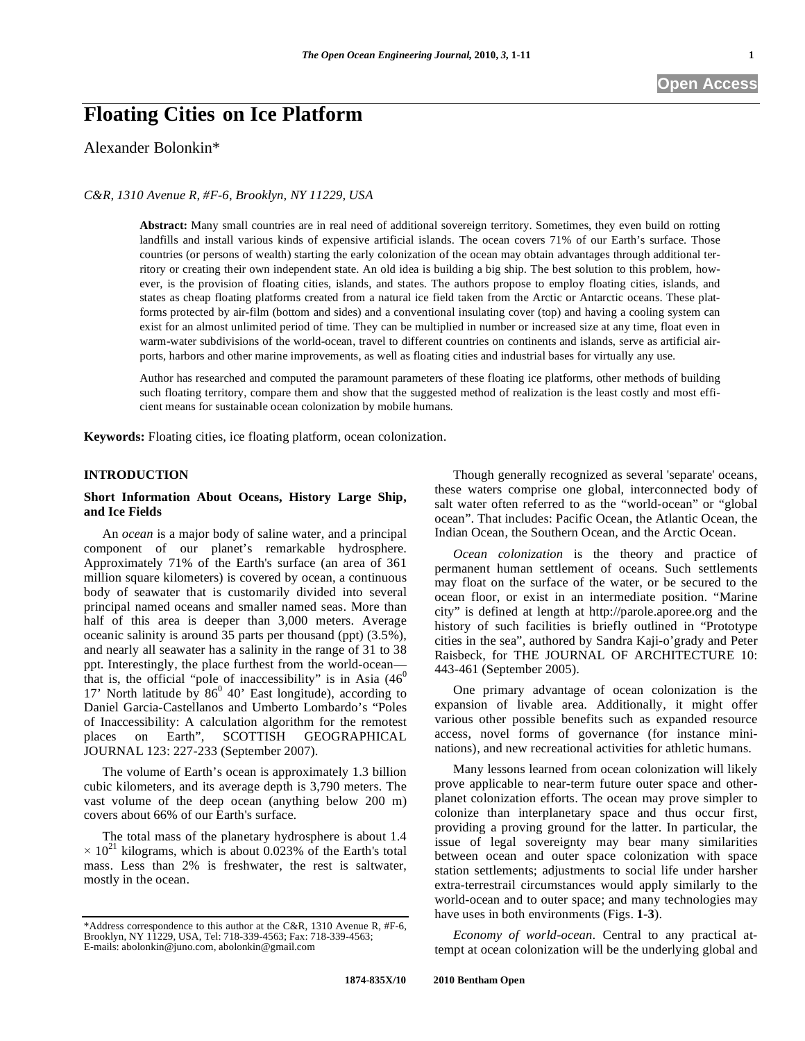# **Floating Cities on Ice Platform**

Alexander Bolonkin\*

*C&R, 1310 Avenue R, #F-6, Brooklyn, NY 11229, USA* 

**Abstract:** Many small countries are in real need of additional sovereign territory. Sometimes, they even build on rotting landfills and install various kinds of expensive artificial islands. The ocean covers 71% of our Earth's surface. Those countries (or persons of wealth) starting the early colonization of the ocean may obtain advantages through additional territory or creating their own independent state. An old idea is building a big ship. The best solution to this problem, however, is the provision of floating cities, islands, and states. The authors propose to employ floating cities, islands, and states as cheap floating platforms created from a natural ice field taken from the Arctic or Antarctic oceans. These platforms protected by air-film (bottom and sides) and a conventional insulating cover (top) and having a cooling system can exist for an almost unlimited period of time. They can be multiplied in number or increased size at any time, float even in warm-water subdivisions of the world-ocean, travel to different countries on continents and islands, serve as artificial airports, harbors and other marine improvements, as well as floating cities and industrial bases for virtually any use.

Author has researched and computed the paramount parameters of these floating ice platforms, other methods of building such floating territory, compare them and show that the suggested method of realization is the least costly and most efficient means for sustainable ocean colonization by mobile humans.

**Keywords:** Floating cities, ice floating platform, ocean colonization.

### **INTRODUCTION**

# **Short Information About Oceans, History Large Ship, and Ice Fields**

An *ocean* is a major body of saline water, and a principal component of our planet's remarkable hydrosphere. Approximately 71% of the Earth's surface (an area of 361 million square kilometers) is covered by ocean, a continuous body of seawater that is customarily divided into several principal named oceans and smaller named seas. More than half of this area is deeper than 3,000 meters. Average oceanic salinity is around 35 parts per thousand (ppt) (3.5%), and nearly all seawater has a salinity in the range of 31 to 38 ppt. Interestingly, the place furthest from the world-ocean that is, the official "pole of inaccessibility" is in Asia  $(46<sup>0</sup>$ 17' North latitude by  $86^{\circ}$  40' East longitude), according to Daniel Garcia-Castellanos and Umberto Lombardo's "Poles of Inaccessibility: A calculation algorithm for the remotest places on Earth", SCOTTISH GEOGRAPHICAL JOURNAL 123: 227-233 (September 2007).

The volume of Earth's ocean is approximately 1.3 billion cubic kilometers, and its average depth is 3,790 meters. The vast volume of the deep ocean (anything below 200 m) covers about 66% of our Earth's surface.

The total mass of the planetary hydrosphere is about 1.4  $\times$  10<sup>21</sup> kilograms, which is about 0.023% of the Earth's total mass. Less than 2% is freshwater, the rest is saltwater, mostly in the ocean.

Though generally recognized as several 'separate' oceans, these waters comprise one global, interconnected body of salt water often referred to as the "world-ocean" or "global ocean". That includes: Pacific Ocean, the Atlantic Ocean, the Indian Ocean, the Southern Ocean, and the Arctic Ocean.

*Ocean colonization* is the theory and practice of permanent human settlement of oceans. Such settlements may float on the surface of the water, or be secured to the ocean floor, or exist in an intermediate position. "Marine city" is defined at length at http://parole.aporee.org and the history of such facilities is briefly outlined in "Prototype cities in the sea", authored by Sandra Kaji-o'grady and Peter Raisbeck, for THE JOURNAL OF ARCHITECTURE 10: 443-461 (September 2005).

One primary advantage of ocean colonization is the expansion of livable area. Additionally, it might offer various other possible benefits such as expanded resource access, novel forms of governance (for instance mininations), and new recreational activities for athletic humans.

Many lessons learned from ocean colonization will likely prove applicable to near-term future outer space and otherplanet colonization efforts. The ocean may prove simpler to colonize than interplanetary space and thus occur first, providing a proving ground for the latter. In particular, the issue of legal sovereignty may bear many similarities between ocean and outer space colonization with space station settlements; adjustments to social life under harsher extra-terrestrail circumstances would apply similarly to the world-ocean and to outer space; and many technologies may have uses in both environments (Figs. **1-3**).

*Economy of world-ocean*. Central to any practical attempt at ocean colonization will be the underlying global and

<sup>\*</sup>Address correspondence to this author at the C&R, 1310 Avenue R, #F-6, Brooklyn, NY 11229, USA, Tel: 718-339-4563; Fax: 718-339-4563; E-mails: abolonkin@juno.com, abolonkin@gmail.com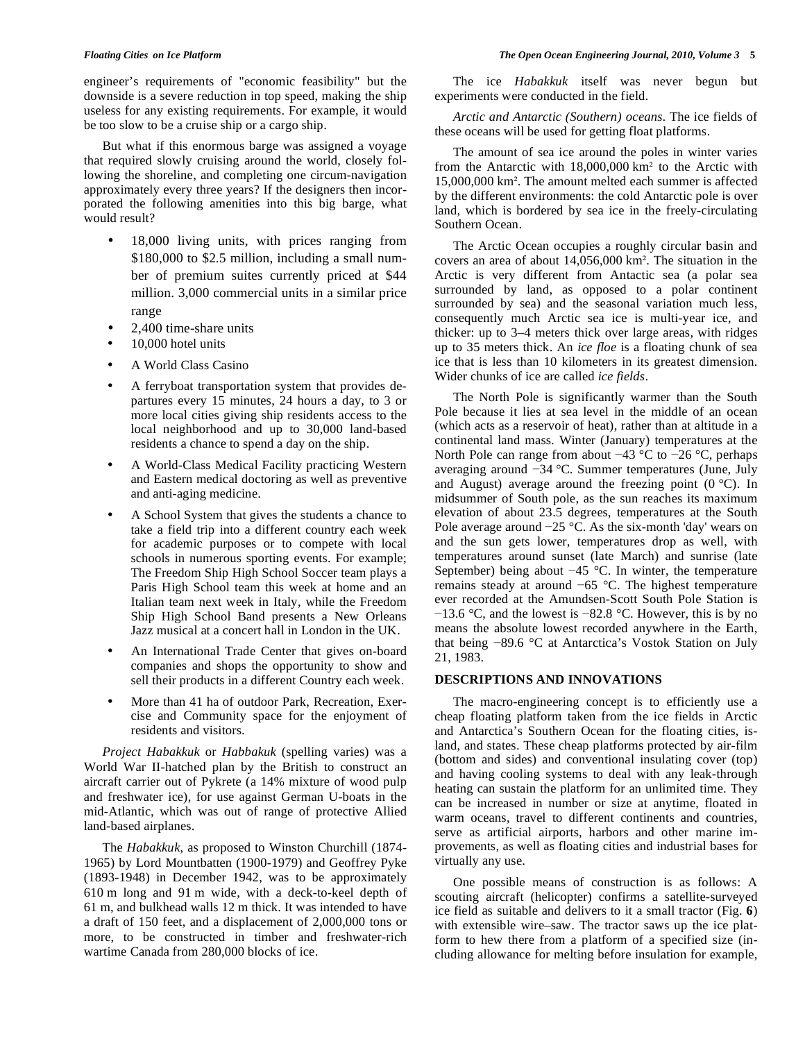engineer's requirements of "economic feasibility" but the downside is a severe reduction in top speed, making the ship useless for any existing requirements. For example, it would be too slow to be a cruise ship or a cargo ship.

But what if this enormous barge was assigned a voyage that required slowly cruising around the world, closely following the shoreline, and completing one circum-navigation approximately every three years? If the designers then incorporated the following amenities into this big barge, what would result?

- 18,000 living units, with prices ranging from \$180,000 to \$2.5 million, including a small number of premium suites currently priced at \$44 million. 3,000 commercial units in a similar price range
- 2,400 time-share units
- 10,000 hotel units
- A World Class Casino
- A ferryboat transportation system that provides departures every 15 minutes, 24 hours a day, to 3 or more local cities giving ship residents access to the local neighborhood and up to 30,000 land-based residents a chance to spend a day on the ship.
- A World-Class Medical Facility practicing Western and Eastern medical doctoring as well as preventive and anti-aging medicine.
- A School System that gives the students a chance to take a field trip into a different country each week for academic purposes or to compete with local schools in numerous sporting events. For example; The Freedom Ship High School Soccer team plays a Paris High School team this week at home and an Italian team next week in Italy, while the Freedom Ship High School Band presents a New Orleans Jazz musical at a concert hall in London in the UK.
- An International Trade Center that gives on-board companies and shops the opportunity to show and sell their products in a different Country each week.
- More than 41 ha of outdoor Park, Recreation, Exercise and Community space for the enjoyment of residents and visitors.

*Project Habakkuk* or *Habbakuk* (spelling varies) was a World War II-hatched plan by the British to construct an aircraft carrier out of Pykrete (a 14% mixture of wood pulp and freshwater ice), for use against German U-boats in the mid-Atlantic, which was out of range of protective Allied land-based airplanes.

The *Habakkuk*, as proposed to Winston Churchill (1874- 1965) by Lord Mountbatten (1900-1979) and Geoffrey Pyke (1893-1948) in December 1942, was to be approximately 610 m long and 91 m wide, with a deck-to-keel depth of 61 m, and bulkhead walls 12 m thick. It was intended to have a draft of 150 feet, and a displacement of 2,000,000 tons or more, to be constructed in timber and freshwater-rich wartime Canada from 280,000 blocks of ice.

The ice *Habakkuk* itself was never begun but experiments were conducted in the field.

*Arctic and Antarctic (Southern) oceans*. The ice fields of these oceans will be used for getting float platforms.

The amount of sea ice around the poles in winter varies from the Antarctic with  $18,000,000$  km<sup>2</sup> to the Arctic with 15,000,000 km<sup>2</sup>. The amount melted each summer is affected by the different environments: the cold Antarctic pole is over land, which is bordered by sea ice in the freely-circulating Southern Ocean.

The Arctic Ocean occupies a roughly circular basin and covers an area of about 14,056,000 km<sup>2</sup>. The situation in the Arctic is very different from Antactic sea (a polar sea surrounded by land, as opposed to a polar continent surrounded by sea) and the seasonal variation much less, consequently much Arctic sea ice is multi-year ice, and thicker: up to 3–4 meters thick over large areas, with ridges up to 35 meters thick. An *ice floe* is a floating chunk of sea ice that is less than 10 kilometers in its greatest dimension. Wider chunks of ice are called *ice fields*.

The North Pole is significantly warmer than the South Pole because it lies at sea level in the middle of an ocean (which acts as a reservoir of heat), rather than at altitude in a continental land mass. Winter (January) temperatures at the North Pole can range from about  $-43$  °C to  $-26$  °C, perhaps averaging around -34 °C. Summer temperatures (June, July and August) average around the freezing point  $(0^{\circ}C)$ . In midsummer of South pole, as the sun reaches its maximum elevation of about 23.5 degrees, temperatures at the South Pole average around  $-25$  °C. As the six-month 'day' wears on and the sun gets lower, temperatures drop as well, with temperatures around sunset (late March) and sunrise (late September) being about  $-45$  °C. In winter, the temperature remains steady at around  $-65$  °C. The highest temperature ever recorded at the Amundsen-Scott South Pole Station is  $-13.6$  °C, and the lowest is  $-82.8$  °C. However, this is by no means the absolute lowest recorded anywhere in the Earth, that being  $-89.6$  °C at Antarctica's Vostok Station on July 21, 1983.

### **DESCRIPTIONS AND INNOVATIONS**

The macro-engineering concept is to efficiently use a cheap floating platform taken from the ice fields in Arctic and Antarctica's Southern Ocean for the floating cities, island, and states. These cheap platforms protected by air-film (bottom and sides) and conventional insulating cover (top) and having cooling systems to deal with any leak-through heating can sustain the platform for an unlimited time. They can be increased in number or size at anytime, floated in warm oceans, travel to different continents and countries, serve as artificial airports, harbors and other marine improvements, as well as floating cities and industrial bases for virtually any use.

One possible means of construction is as follows: A scouting aircraft (helicopter) confirms a satellite-surveyed ice field as suitable and delivers to it a small tractor (Fig. **6**) with extensible wire–saw. The tractor saws up the ice platform to hew there from a platform of a specified size (including allowance for melting before insulation for example,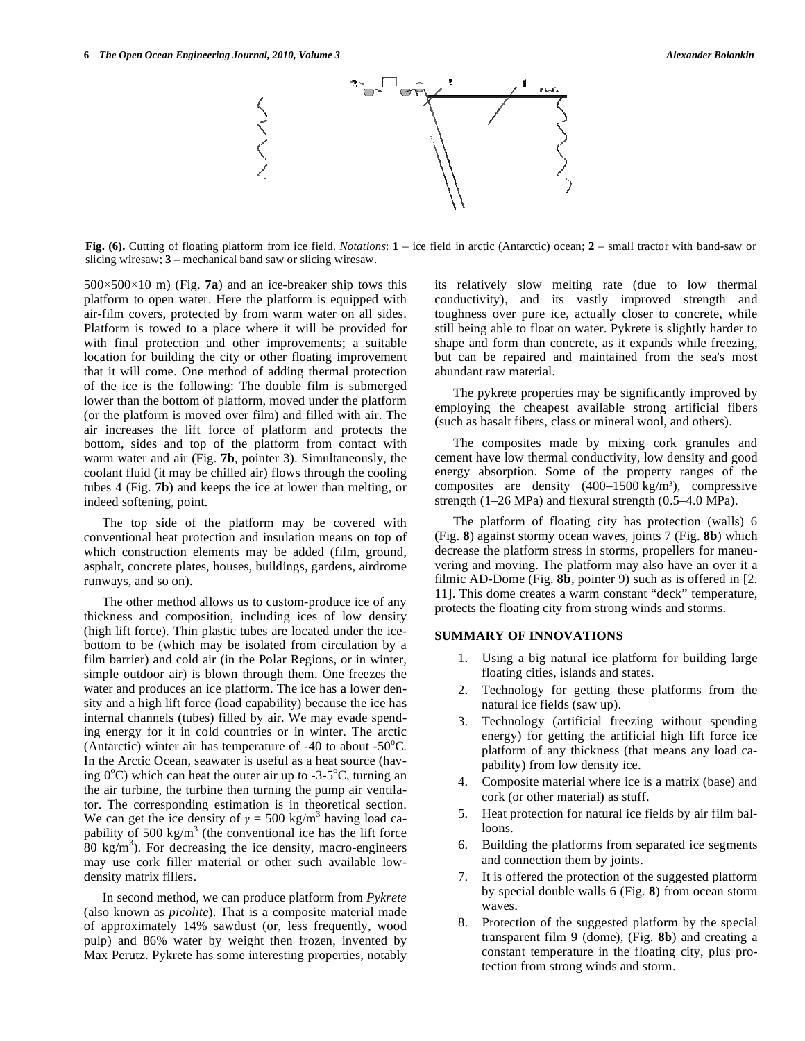

**Fig. (6).** Cutting of floating platform from ice field. *Notations*: **1** – ice field in arctic (Antarctic) ocean; **2** – small tractor with band-saw or slicing wiresaw; **3** – mechanical band saw or slicing wiresaw.

 $500 \times 500 \times 10$  m) (Fig. **7a**) and an ice-breaker ship tows this platform to open water. Here the platform is equipped with air-film covers, protected by from warm water on all sides. Platform is towed to a place where it will be provided for with final protection and other improvements; a suitable location for building the city or other floating improvement that it will come. One method of adding thermal protection of the ice is the following: The double film is submerged lower than the bottom of platform, moved under the platform (or the platform is moved over film) and filled with air. The air increases the lift force of platform and protects the bottom, sides and top of the platform from contact with warm water and air (Fig. **7b**, pointer 3). Simultaneously, the coolant fluid (it may be chilled air) flows through the cooling tubes 4 (Fig. **7b**) and keeps the ice at lower than melting, or indeed softening, point.

The top side of the platform may be covered with conventional heat protection and insulation means on top of which construction elements may be added (film, ground, asphalt, concrete plates, houses, buildings, gardens, airdrome runways, and so on).

The other method allows us to custom-produce ice of any thickness and composition, including ices of low density (high lift force). Thin plastic tubes are located under the icebottom to be (which may be isolated from circulation by a film barrier) and cold air (in the Polar Regions, or in winter, simple outdoor air) is blown through them. One freezes the water and produces an ice platform. The ice has a lower density and a high lift force (load capability) because the ice has internal channels (tubes) filled by air. We may evade spending energy for it in cold countries or in winter. The arctic (Antarctic) winter air has temperature of  $-40$  to about  $-50^{\circ}$ C. In the Arctic Ocean, seawater is useful as a heat source (having  $0^{\circ}$ C) which can heat the outer air up to -3-5 $^{\circ}$ C, turning an the air turbine, the turbine then turning the pump air ventilator. The corresponding estimation is in theoretical section. We can get the ice density of  $\gamma = 500 \text{ kg/m}^3$  having load capability of 500 kg/m<sup>3</sup> (the conventional ice has the lift force  $80 \text{ kg/m}^3$ ). For decreasing the ice density, macro-engineers may use cork filler material or other such available lowdensity matrix fillers.

In second method, we can produce platform from *Pykrete* (also known as *picolite*). That is a composite material made of approximately 14% sawdust (or, less frequently, wood pulp) and 86% water by weight then frozen, invented by Max Perutz. Pykrete has some interesting properties, notably

its relatively slow melting rate (due to low thermal conductivity), and its vastly improved strength and toughness over pure ice, actually closer to concrete, while still being able to float on water. Pykrete is slightly harder to shape and form than concrete, as it expands while freezing, but can be repaired and maintained from the sea's most abundant raw material.

The pykrete properties may be significantly improved by employing the cheapest available strong artificial fibers (such as basalt fibers, class or mineral wool, and others).

The composites made by mixing cork granules and cement have low thermal conductivity, low density and good energy absorption. Some of the property ranges of the composites are density  $(400-1500 \text{ kg/m}^3)$ , compressive strength (1–26 MPa) and flexural strength (0.5–4.0 MPa).

The platform of floating city has protection (walls) 6 (Fig. **8**) against stormy ocean waves, joints 7 (Fig. **8b**) which decrease the platform stress in storms, propellers for maneuvering and moving. The platform may also have an over it a filmic AD-Dome (Fig. **8b**, pointer 9) such as is offered in [2. 11]. This dome creates a warm constant "deck" temperature, protects the floating city from strong winds and storms.

# **SUMMARY OF INNOVATIONS**

- 1. Using a big natural ice platform for building large floating cities, islands and states.
- 2. Technology for getting these platforms from the natural ice fields (saw up).
- 3. Technology (artificial freezing without spending energy) for getting the artificial high lift force ice platform of any thickness (that means any load capability) from low density ice.
- 4. Composite material where ice is a matrix (base) and cork (or other material) as stuff.
- 5. Heat protection for natural ice fields by air film balloons.
- 6. Building the platforms from separated ice segments and connection them by joints.
- 7. It is offered the protection of the suggested platform by special double walls 6 (Fig. **8**) from ocean storm waves.
- Protection of the suggested platform by the special transparent film 9 (dome), (Fig. **8b**) and creating a constant temperature in the floating city, plus protection from strong winds and storm.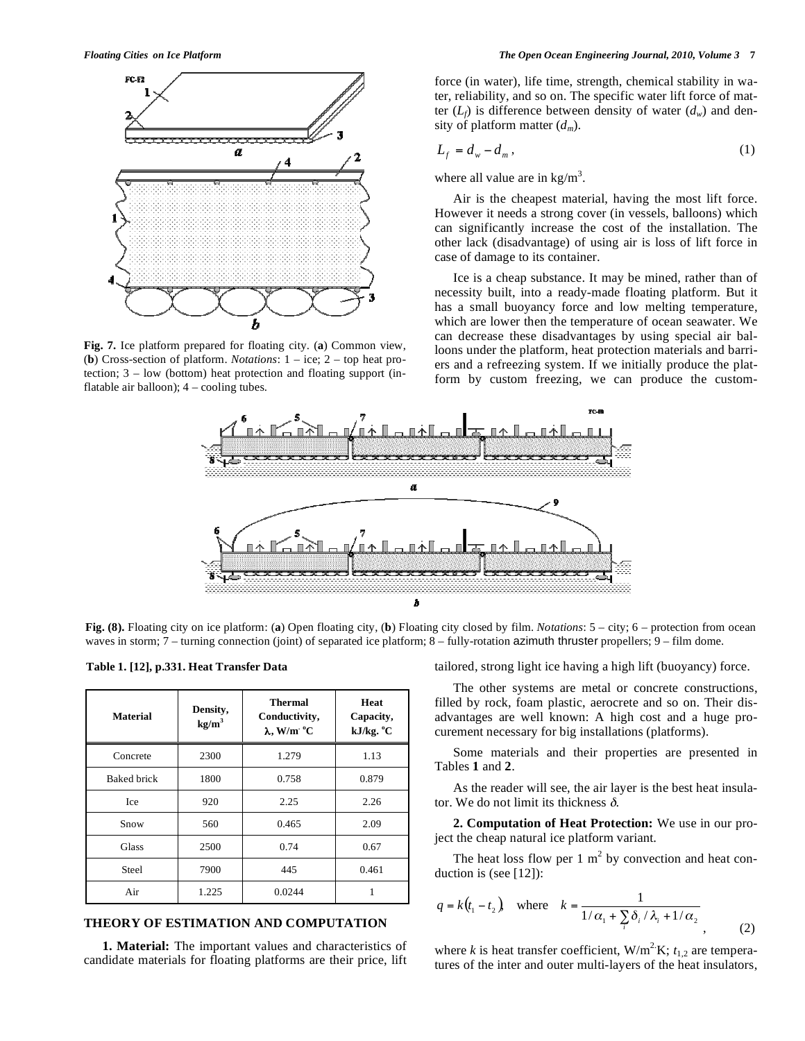

**Fig. 7.** Ice platform prepared for floating city. (**a**) Common view, (**b**) Cross-section of platform. *Notations*: 1 – ice; 2 – top heat protection; 3 – low (bottom) heat protection and floating support (inflatable air balloon); 4 – cooling tubes.

force (in water), life time, strength, chemical stability in water, reliability, and so on. The specific water lift force of matter  $(L_f)$  is difference between density of water  $(d_w)$  and density of platform matter (*dm*).

$$
L_f = d_w - d_m, \qquad (1)
$$

where all value are in  $\text{kg/m}^3$ .

Air is the cheapest material, having the most lift force. However it needs a strong cover (in vessels, balloons) which can significantly increase the cost of the installation. The other lack (disadvantage) of using air is loss of lift force in case of damage to its container.

Ice is a cheap substance. It may be mined, rather than of necessity built, into a ready-made floating platform. But it has a small buoyancy force and low melting temperature, which are lower then the temperature of ocean seawater. We can decrease these disadvantages by using special air balloons under the platform, heat protection materials and barriers and a refreezing system. If we initially produce the platform by custom freezing, we can produce the custom-



**Fig. (8).** Floating city on ice platform: (**a**) Open floating city, (**b**) Floating city closed by film. *Notations*: 5 – city; 6 – protection from ocean waves in storm; 7 – turning connection (joint) of separated ice platform; 8 – fully-rotation azimuth thruster propellers; 9 – film dome.

|  |  | Table 1. [12], p.331. Heat Transfer Data |
|--|--|------------------------------------------|
|--|--|------------------------------------------|

| Material           | Density,<br>kg/m <sup>3</sup> | <b>Thermal</b><br>Conductivity,<br>$\lambda$ , W/m $^{\circ}$ C | Heat<br>Capacity,<br>kJ/kg. °C |  |
|--------------------|-------------------------------|-----------------------------------------------------------------|--------------------------------|--|
| Concrete           | 2300                          | 1.279                                                           | 1.13                           |  |
| <b>Baked brick</b> | 1800                          | 0.758                                                           | 0.879                          |  |
| Ice                | 920                           | 2.25                                                            | 2.26                           |  |
| Snow               | 560                           | 0.465                                                           | 2.09                           |  |
| <b>Glass</b>       | 2500                          | 0.74                                                            | 0.67                           |  |
| Steel              | 7900                          | 445                                                             | 0.461                          |  |
| Air                | 1.225                         | 0.0244                                                          |                                |  |

### **THEORY OF ESTIMATION AND COMPUTATION**

**1. Material:** The important values and characteristics of candidate materials for floating platforms are their price, lift tailored, strong light ice having a high lift (buoyancy) force.

The other systems are metal or concrete constructions, filled by rock, foam plastic, aerocrete and so on. Their disadvantages are well known: A high cost and a huge procurement necessary for big installations (platforms).

Some materials and their properties are presented in Tables **1** and **2**.

As the reader will see, the air layer is the best heat insulator. We do not limit its thickness  $\delta$ .

**2. Computation of Heat Protection:** We use in our project the cheap natural ice platform variant.

The heat loss flow per 1  $m<sup>2</sup>$  by convection and heat conduction is (see [12]):

$$
q = k(t_1 - t_2) \quad \text{where} \quad k = \frac{1}{1/\alpha_1 + \sum_i \delta_i / \lambda_i + 1/\alpha_2},\tag{2}
$$

where *k* is heat transfer coefficient,  $W/m^2 K$ ;  $t_{1,2}$  are temperatures of the inter and outer multi-layers of the heat insulators,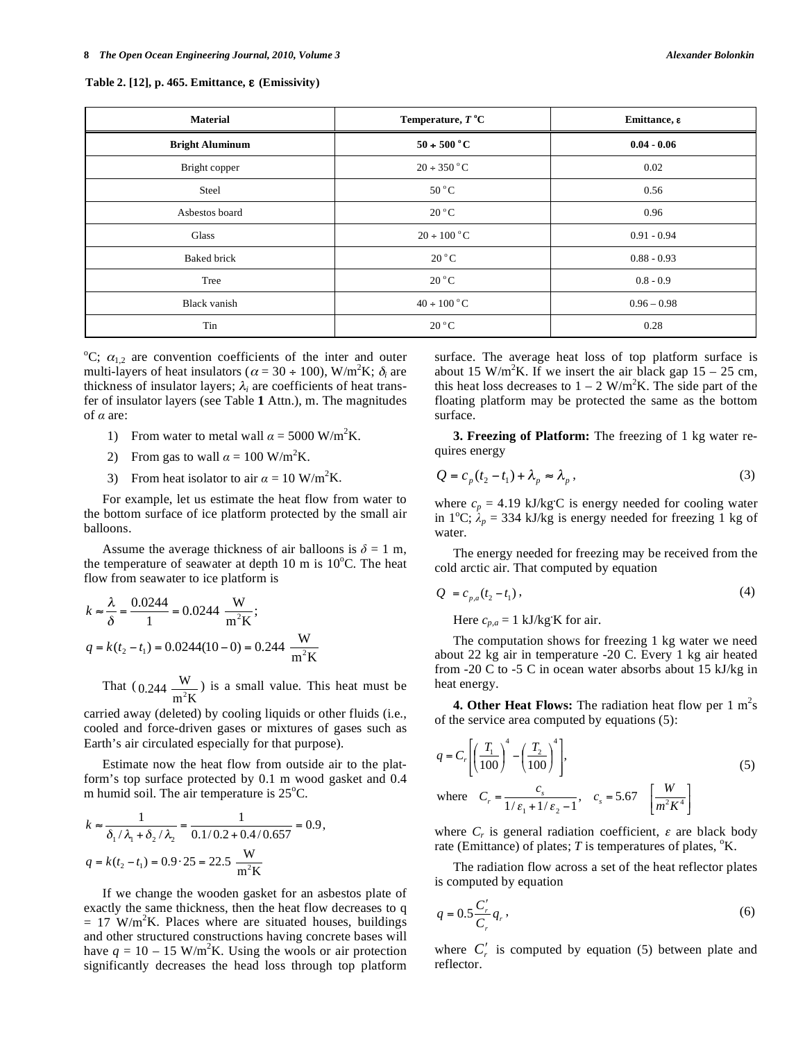#### **Table 2. [12], p. 465. Emittance, (Emissivity)**

| <b>Material</b>        | Temperature, $T^{\circ}C$ | Emittance, ε  |  |
|------------------------|---------------------------|---------------|--|
| <b>Bright Aluminum</b> | $50 + 500$ °C             | $0.04 - 0.06$ |  |
| Bright copper          | $20 \div 350$ °C          | 0.02          |  |
| Steel                  | $50^{\circ}$ C            | 0.56          |  |
| Asbestos board         | $20^{\circ}$ C            | 0.96          |  |
| Glass                  | $20 \div 100^{\circ}$ C   | $0.91 - 0.94$ |  |
| <b>Baked brick</b>     | $20^{\circ}$ C            | $0.88 - 0.93$ |  |
| Tree                   | $20^{\circ}$ C            | $0.8 - 0.9$   |  |
| Black vanish           | $40 \div 100$ °C          | $0.96 - 0.98$ |  |
| Tin                    | $20^{\circ}$ C            | 0.28          |  |

<sup>o</sup>C;  $\alpha_{1,2}$  are convention coefficients of the inter and outer multi-layers of heat insulators ( $\alpha = 30 \div 100$ ), W/m<sup>2</sup>K;  $\delta_i$  are thickness of insulator layers;  $\lambda_i$  are coefficients of heat transfer of insulator layers (see Table **1** Attn.), m. The magnitudes of  $\alpha$  are:

- 1) From water to metal wall  $\alpha = 5000 \text{ W/m}^2\text{K}$ .
- 2) From gas to wall  $\alpha = 100 \text{ W/m}^2\text{K}$ .
- 3) From heat isolator to air  $\alpha = 10 \text{ W/m}^2\text{K}$ .

For example, let us estimate the heat flow from water to the bottom surface of ice platform protected by the small air balloons.

Assume the average thickness of air balloons is  $\delta = 1$  m, the temperature of seawater at depth  $10 \text{ m}$  is  $10^{\circ}$ C. The heat flow from seawater to ice platform is

$$
k \approx \frac{\lambda}{\delta} = \frac{0.0244}{1} = 0.0244 \frac{W}{m^2 K};
$$
  
 
$$
q = k(t_2 - t_1) = 0.0244(10 - 0) = 0.244 \frac{W}{m^2 K}
$$

That ( 0.244  $\frac{W}{m^2 K}$ ) is a small value. This heat must be

carried away (deleted) by cooling liquids or other fluids (i.e., cooled and force-driven gases or mixtures of gases such as Earth's air circulated especially for that purpose).

Estimate now the heat flow from outside air to the platform's top surface protected by 0.1 m wood gasket and 0.4 m humid soil. The air temperature is  $25^{\circ}$ C.

$$
k \approx \frac{1}{\delta_1/\lambda_1 + \delta_2/\lambda_2} = \frac{1}{0.1/0.2 + 0.4/0.657} = 0.9,
$$
  

$$
q = k(t_2 - t_1) = 0.9 \cdot 25 = 22.5 \frac{W}{m^2 K}
$$

If we change the wooden gasket for an asbestos plate of exactly the same thickness, then the heat flow decreases to q  $= 17$  W/m<sup>2</sup>K. Places where are situated houses, buildings and other structured constructions having concrete bases will have  $q = 10 - 15$  W/m<sup>2</sup>K. Using the wools or air protection significantly decreases the head loss through top platform

surface. The average heat loss of top platform surface is about 15 W/m<sup>2</sup>K. If we insert the air black gap  $15 - 25$  cm, this heat loss decreases to  $1 - 2$  W/m<sup>2</sup>K. The side part of the floating platform may be protected the same as the bottom surface.

**3. Freezing of Platform:** The freezing of 1 kg water requires energy

$$
Q = c_p(t_2 - t_1) + \lambda_p \approx \lambda_p,
$$
\n(3)

where  $c_p = 4.19 \text{ kJ/kg}$ C is energy needed for cooling water in 1<sup>o</sup>C;  $\lambda_p = 334$  kJ/kg is energy needed for freezing 1 kg of water.

The energy needed for freezing may be received from the cold arctic air. That computed by equation

$$
Q = c_{p,a}(t_2 - t_1),
$$
\n(4)

Here  $c_{p,a} = 1$  kJ/kg**<sup>.</sup>**K for air.

The computation shows for freezing 1 kg water we need about 22 kg air in temperature -20 C. Every 1 kg air heated from -20 C to -5 C in ocean water absorbs about 15 kJ/kg in heat energy.

**4. Other Heat Flows:** The radiation heat flow per  $1 \text{ m}^2\text{s}$ of the service area computed by equations (5):

$$
q = C_r \left[ \left( \frac{T_1}{100} \right)^4 - \left( \frac{T_2}{100} \right)^4 \right],
$$
  
where  $C_r = \frac{c_s}{1/\varepsilon_1 + 1/\varepsilon_2 - 1}, \quad c_s = 5.67 \left[ \frac{W}{m^2 K^4} \right]$  (5)

where  $C_r$  is general radiation coefficient,  $\varepsilon$  are black body rate (Emittance) of plates;  $T$  is temperatures of plates,  $\mathrm{K}$ .

The radiation flow across a set of the heat reflector plates is computed by equation

$$
q = 0.5 \frac{C_r'}{C_r} q_r, \qquad (6)
$$

where  $C'_r$  is computed by equation (5) between plate and reflector.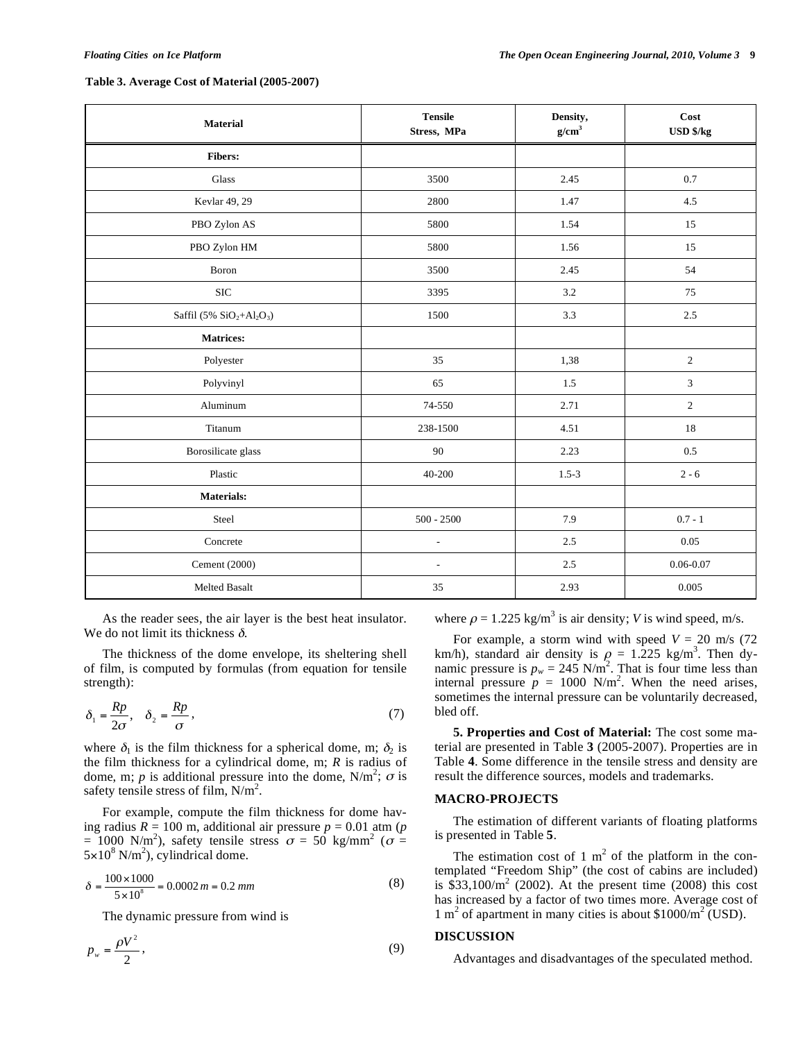#### **Table 3. Average Cost of Material (2005-2007)**

| <b>Material</b>                                                  | <b>Tensile</b><br>Stress, MPa | Density,<br>g/cm <sup>3</sup> | Cost<br><b>USD \$/kg</b> |  |
|------------------------------------------------------------------|-------------------------------|-------------------------------|--------------------------|--|
| Fibers:                                                          |                               |                               |                          |  |
| Glass                                                            | 3500                          | 2.45                          | 0.7                      |  |
| Kevlar 49, 29                                                    | 2800                          | 1.47                          | 4.5                      |  |
| PBO Zylon AS                                                     | 5800                          | 1.54                          | 15                       |  |
| PBO Zylon HM                                                     | 5800                          | 1.56                          | 15                       |  |
| Boron                                                            | 3500                          | 2.45                          | 54                       |  |
| $\rm SIC$                                                        | 3395                          | $3.2\,$                       | 75                       |  |
| Saffil $(5\%$ SiO <sub>2</sub> +Al <sub>2</sub> O <sub>3</sub> ) | 1500                          | 3.3                           | 2.5                      |  |
| <b>Matrices:</b>                                                 |                               |                               |                          |  |
| Polyester                                                        | 35                            | 1,38                          | $\overline{c}$           |  |
| Polyvinyl                                                        | 65                            | 1.5                           | $\mathfrak{Z}$           |  |
| Aluminum                                                         | 74-550                        | 2.71                          | $\sqrt{2}$               |  |
| Titanum                                                          | 238-1500                      | 4.51                          | 18                       |  |
| Borosilicate glass                                               | 90                            | 2.23                          | $0.5\,$                  |  |
| Plastic                                                          | 40-200                        | $1.5 - 3$                     | $2 - 6$                  |  |
| <b>Materials:</b>                                                |                               |                               |                          |  |
| Steel                                                            | $500 - 2500$                  | 7.9                           | $0.7 - 1$                |  |
| Concrete                                                         | $\overline{a}$                | 2.5                           | 0.05                     |  |
| Cement (2000)                                                    | $\overline{\phantom{a}}$      | 2.5                           | $0.06 - 0.07$            |  |
| <b>Melted Basalt</b>                                             | 35                            | 2.93                          | 0.005                    |  |

As the reader sees, the air layer is the best heat insulator. We do not limit its thickness  $\delta$ .

The thickness of the dome envelope, its sheltering shell of film, is computed by formulas (from equation for tensile strength):

$$
\delta_1 = \frac{Rp}{2\sigma}, \quad \delta_2 = \frac{Rp}{\sigma}, \tag{7}
$$

where  $\delta_1$  is the film thickness for a spherical dome, m;  $\delta_2$  is the film thickness for a cylindrical dome, m; *R* is radius of dome, m; *p* is additional pressure into the dome,  $N/m^2$ ;  $\sigma$  is safety tensile stress of film,  $N/m^2$ .

For example, compute the film thickness for dome having radius *R* = 100 m, additional air pressure *p* = 0.01 atm (*p*  $= 1000 \text{ N/m}^2$ ), safety tensile stress  $\sigma = 50 \text{ kg/mm}^2$  ( $\sigma =$  $5 \times 10^8$  N/m<sup>2</sup>), cylindrical dome.

$$
\delta = \frac{100 \times 1000}{5 \times 10^8} = 0.0002 \, m = 0.2 \, mm \tag{8}
$$

The dynamic pressure from wind is

$$
p_w = \frac{\rho V^2}{2},\tag{9}
$$

where  $\rho = 1.225 \text{ kg/m}^3$  is air density; *V* is wind speed, m/s.

For example, a storm wind with speed  $V = 20$  m/s (72) km/h), standard air density is  $\rho = 1.225$  kg/m<sup>3</sup>. Then dynamic pressure is  $p_w = 245 \text{ N/m}^2$ . That is four time less than internal pressure  $p = 1000 \text{ N/m}^2$ . When the need arises, sometimes the internal pressure can be voluntarily decreased, bled off.

**5. Properties and Cost of Material:** The cost some material are presented in Table **3** (2005-2007). Properties are in Table **4**. Some difference in the tensile stress and density are result the difference sources, models and trademarks.

# **MACRO-PROJECTS**

The estimation of different variants of floating platforms is presented in Table **5**.

The estimation cost of 1  $m<sup>2</sup>$  of the platform in the contemplated "Freedom Ship" (the cost of cabins are included) is  $$33,100/m<sup>2</sup>$  (2002). At the present time (2008) this cost has increased by a factor of two times more. Average cost of 1 m<sup>2</sup> of apartment in many cities is about \$1000/m<sup>2</sup> (USD).

## **DISCUSSION**

Advantages and disadvantages of the speculated method.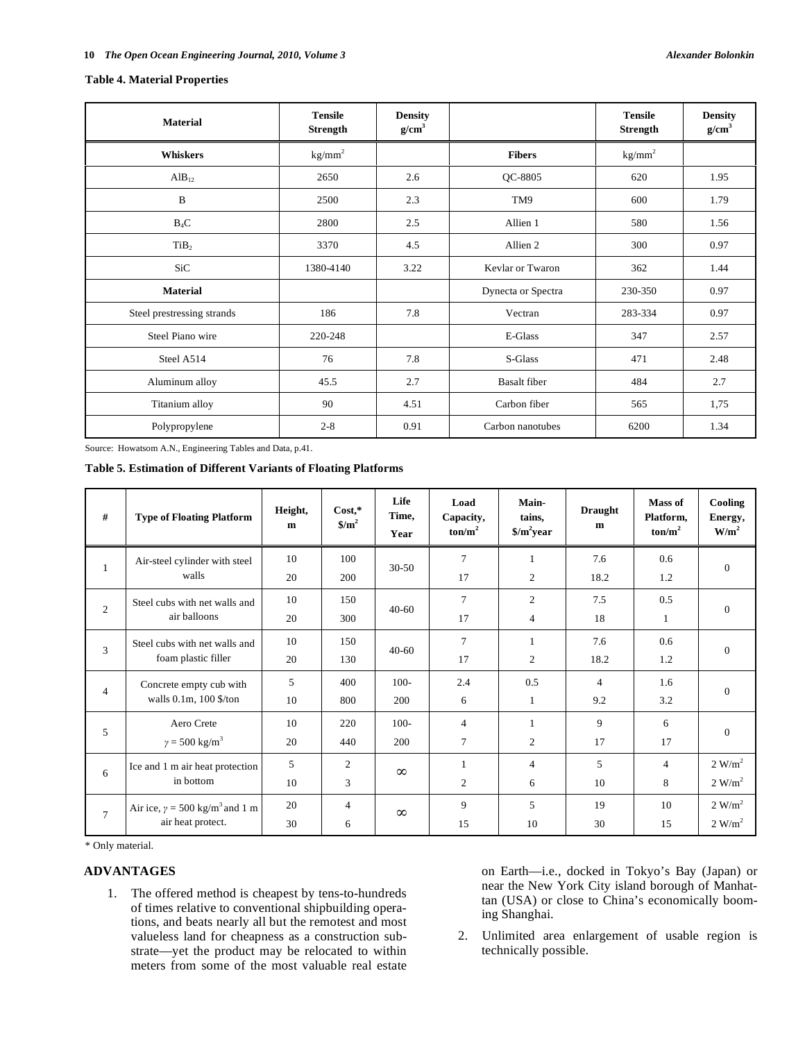## **Table 4. Material Properties**

| <b>Material</b>            | <b>Tensile</b><br><b>Strength</b> | <b>Density</b><br>g/cm <sup>3</sup> |                     | <b>Tensile</b><br><b>Strength</b> | <b>Density</b><br>g/cm <sup>3</sup> |
|----------------------------|-----------------------------------|-------------------------------------|---------------------|-----------------------------------|-------------------------------------|
| <b>Whiskers</b>            | $kg/mm^2$                         |                                     | <b>Fibers</b>       | kg/mm <sup>2</sup>                |                                     |
| $AlB_{12}$                 | 2650                              | 2.6                                 | QC-8805             | 620                               | 1.95                                |
| B                          | 2500                              | 2.3                                 | TM9                 | 600                               | 1.79                                |
| $B_4C$                     | 2800                              | 2.5                                 | Allien 1            | 580                               | 1.56                                |
| TiB <sub>2</sub>           | 3370                              | 4.5                                 | Allien 2            | 300                               | 0.97                                |
| SiC                        | 1380-4140                         | 3.22                                | Kevlar or Twaron    | 362                               | 1.44                                |
| <b>Material</b>            |                                   |                                     | Dynecta or Spectra  | 230-350                           | 0.97                                |
| Steel prestressing strands | 186                               | 7.8                                 | Vectran             | 283-334                           | 0.97                                |
| Steel Piano wire           | 220-248                           |                                     | E-Glass             | 347                               | 2.57                                |
| Steel A514                 | 76                                | 7.8                                 | S-Glass             | 471                               | 2.48                                |
| Aluminum alloy             | 45.5                              | 2.7                                 | <b>Basalt</b> fiber | 484                               | 2.7                                 |
| Titanium alloy             | 90                                | 4.51                                | Carbon fiber        | 565                               | 1,75                                |
| Polypropylene              | $2 - 8$                           | 0.91                                | Carbon nanotubes    | 6200                              | 1.34                                |

Source: Howatsom A.N., Engineering Tables and Data, p.41.

**Table 5. Estimation of Different Variants of Floating Platforms** 

| #              | <b>Type of Floating Platform</b>                                    | Height,<br>m | $Cost,*$<br>$\frac{\mathrm{s}}{\mathrm{m}^2}$ | Life<br>Time,<br>Year | Load<br>Capacity,<br>$\text{ton/m}^2$ | Main-<br>tains,<br>$\gamma/m^2$ year | <b>Draught</b><br>m | Mass of<br>Platform,<br>$\text{ton/m}^2$ | Cooling<br>Energy,<br>$W/m^2$ |
|----------------|---------------------------------------------------------------------|--------------|-----------------------------------------------|-----------------------|---------------------------------------|--------------------------------------|---------------------|------------------------------------------|-------------------------------|
| 1              | Air-steel cylinder with steel<br>walls                              | 10           | 100                                           | $30 - 50$             | 7                                     | $\mathbf{1}$                         | 7.6                 | 0.6                                      |                               |
|                |                                                                     | 20           | 200                                           |                       | 17                                    | 2                                    | 18.2                | 1.2                                      | $\mathbf{0}$                  |
|                | Steel cubs with net walls and                                       | 10           | 150                                           |                       | $\tau$                                | 2                                    | 7.5                 | 0.5                                      |                               |
| $\overline{2}$ | air balloons                                                        | 20           | 300                                           | $40-60$               | 17                                    | $\overline{4}$                       | 18                  | 1                                        | $\theta$                      |
| 3              | Steel cubs with net walls and<br>foam plastic filler                | 10           | 150                                           |                       | 7                                     | $\mathbf{1}$                         | 7.6                 | 0.6                                      |                               |
|                |                                                                     | 20           | 130                                           | $40 - 60$             | 17                                    | 2                                    | 18.2                | 1.2                                      | $\theta$                      |
|                | Concrete empty cub with<br>walls $0.1m$ , $100$ \$/ton              | 5            | 400                                           | $100 -$               | 2.4                                   | 0.5                                  | $\overline{4}$      | 1.6                                      |                               |
| $\overline{4}$ |                                                                     | 10           | 800                                           | 200                   | 6                                     | 1                                    | 9.2                 | 3.2                                      | $\Omega$                      |
|                | Aero Crete                                                          | 10           | 220                                           | $100 -$               | $\overline{4}$                        | $\mathbf{1}$                         | 9                   | 6                                        |                               |
| 5              | $\gamma = 500 \text{ kg/m}^3$                                       | 20           | 440                                           | 200                   | $\overline{7}$                        | 2                                    | 17                  | 17                                       | $\mathbf{0}$                  |
|                | Ice and 1 m air heat protection<br>in bottom                        | 5            | $\overline{2}$                                | $\infty$              |                                       | 4                                    | 5                   | $\overline{4}$                           | 2 W/m <sup>2</sup>            |
| 6              |                                                                     | 10           | 3                                             |                       | $\overline{c}$                        | 6                                    | 10                  | 8                                        | 2 W/m <sup>2</sup>            |
| $\overline{7}$ | Air ice, $\gamma = 500 \text{ kg/m}^3$ and 1 m<br>air heat protect. | 20           | $\overline{4}$                                | $\infty$              | 9                                     | 5                                    | 19                  | 10                                       | 2 W/m <sup>2</sup>            |
|                |                                                                     | 30           | 6                                             |                       | 15                                    | 10                                   | 30                  | 15                                       | 2 W/m <sup>2</sup>            |

\* Only material.

# **ADVANTAGES**

1. The offered method is cheapest by tens-to-hundreds of times relative to conventional shipbuilding operations, and beats nearly all but the remotest and most valueless land for cheapness as a construction substrate—yet the product may be relocated to within meters from some of the most valuable real estate

on Earth—i.e., docked in Tokyo's Bay (Japan) or near the New York City island borough of Manhattan (USA) or close to China's economically booming Shanghai.

2. Unlimited area enlargement of usable region is technically possible.